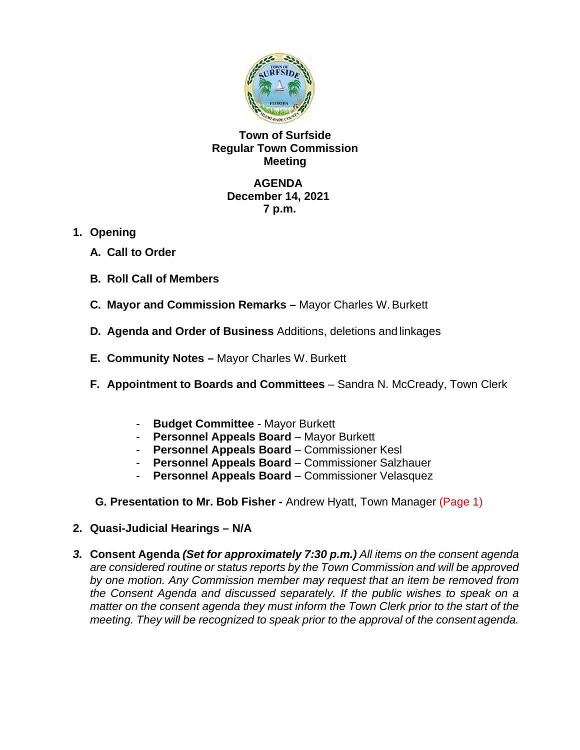

# **Town of Surfside Regular Town Commission Meeting**

### **AGENDA December 14, 2021 7 p.m.**

- **1. Opening**
	- **A. Call to Order**
	- **B. Roll Call of Members**
	- **C. Mayor and Commission Remarks** Mayor Charles W.Burkett
	- **D. Agenda and Order of Business** Additions, deletions and linkages
	- **E. Community Notes** Mayor Charles W. Burkett
	- **F. Appointment to Boards and Committees** Sandra N. McCready, Town Clerk
		- **Budget Committee**  Mayor Burkett
		- **Personnel Appeals Board** Mayor Burkett
		- **Personnel Appeals Board** Commissioner Kesl
		- **Personnel Appeals Board** Commissioner Salzhauer
		- **Personnel Appeals Board** Commissioner Velasquez

**G. Presentation to Mr. Bob Fisher -** Andrew Hyatt, Town Manager (Page 1)

- **2. Quasi-Judicial Hearings N/A**
- *3.* **Consent Agenda** *(Set for approximately 7:30 p.m.) All items on the consent agenda are considered routine or status reports by the Town Commission and will be approved by one motion. Any Commission member may request that an item be removed from the Consent Agenda and discussed separately. If the public wishes to speak on a matter on the consent agenda they must inform the Town Clerk prior to the start of the meeting. They will be recognized to speak prior to the approval of the consent agenda.*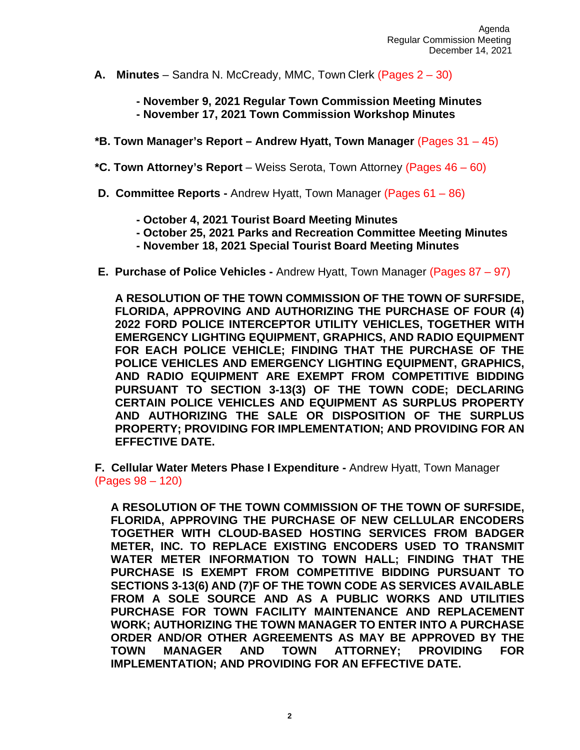**A. Minutes** – Sandra N. McCready, MMC, Town Clerk (Pages 2 – 30)

**- November 9, 2021 Regular Town Commission Meeting Minutes - November 17, 2021 Town Commission Workshop Minutes**

- **\*B. Town Manager's Report – Andrew Hyatt, Town Manager** (Pages 31 45)
- **\*C. Town Attorney's Report**  Weiss Serota, Town Attorney (Pages 46 60)
- **D. Committee Reports -** Andrew Hyatt, Town Manager (Pages 61 86)
	- **- October 4, 2021 Tourist Board Meeting Minutes**
	- **- October 25, 2021 Parks and Recreation Committee Meeting Minutes**
	- **- November 18, 2021 Special Tourist Board Meeting Minutes**
- **E. Purchase of Police Vehicles -** Andrew Hyatt, Town Manager (Pages 87 97)

**A RESOLUTION OF THE TOWN COMMISSION OF THE TOWN OF SURFSIDE, FLORIDA, APPROVING AND AUTHORIZING THE PURCHASE OF FOUR (4) 2022 FORD POLICE INTERCEPTOR UTILITY VEHICLES, TOGETHER WITH EMERGENCY LIGHTING EQUIPMENT, GRAPHICS, AND RADIO EQUIPMENT FOR EACH POLICE VEHICLE; FINDING THAT THE PURCHASE OF THE POLICE VEHICLES AND EMERGENCY LIGHTING EQUIPMENT, GRAPHICS, AND RADIO EQUIPMENT ARE EXEMPT FROM COMPETITIVE BIDDING PURSUANT TO SECTION 3-13(3) OF THE TOWN CODE; DECLARING CERTAIN POLICE VEHICLES AND EQUIPMENT AS SURPLUS PROPERTY AND AUTHORIZING THE SALE OR DISPOSITION OF THE SURPLUS PROPERTY; PROVIDING FOR IMPLEMENTATION; AND PROVIDING FOR AN EFFECTIVE DATE.**

**F. Cellular Water Meters Phase I Expenditure -** Andrew Hyatt, Town Manager (Pages 98 – 120)

**A RESOLUTION OF THE TOWN COMMISSION OF THE TOWN OF SURFSIDE, FLORIDA, APPROVING THE PURCHASE OF NEW CELLULAR ENCODERS TOGETHER WITH CLOUD-BASED HOSTING SERVICES FROM BADGER METER, INC. TO REPLACE EXISTING ENCODERS USED TO TRANSMIT WATER METER INFORMATION TO TOWN HALL; FINDING THAT THE PURCHASE IS EXEMPT FROM COMPETITIVE BIDDING PURSUANT TO SECTIONS 3-13(6) AND (7)F OF THE TOWN CODE AS SERVICES AVAILABLE FROM A SOLE SOURCE AND AS A PUBLIC WORKS AND UTILITIES PURCHASE FOR TOWN FACILITY MAINTENANCE AND REPLACEMENT WORK; AUTHORIZING THE TOWN MANAGER TO ENTER INTO A PURCHASE ORDER AND/OR OTHER AGREEMENTS AS MAY BE APPROVED BY THE TOWN MANAGER AND TOWN ATTORNEY; PROVIDING FOR IMPLEMENTATION; AND PROVIDING FOR AN EFFECTIVE DATE.**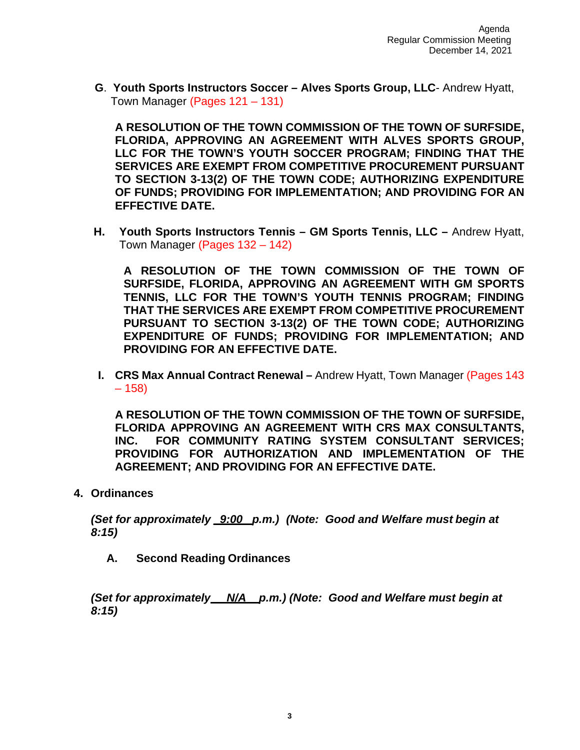**G**. **Youth Sports Instructors Soccer – Alves Sports Group, LLC**- Andrew Hyatt, Town Manager (Pages 121 – 131)

**A RESOLUTION OF THE TOWN COMMISSION OF THE TOWN OF SURFSIDE, FLORIDA, APPROVING AN AGREEMENT WITH ALVES SPORTS GROUP, LLC FOR THE TOWN'S YOUTH SOCCER PROGRAM; FINDING THAT THE SERVICES ARE EXEMPT FROM COMPETITIVE PROCUREMENT PURSUANT TO SECTION 3-13(2) OF THE TOWN CODE; AUTHORIZING EXPENDITURE OF FUNDS; PROVIDING FOR IMPLEMENTATION; AND PROVIDING FOR AN EFFECTIVE DATE.**

**H. Youth Sports Instructors Tennis – GM Sports Tennis, LLC –** Andrew Hyatt, Town Manager (Pages 132 – 142)

**A RESOLUTION OF THE TOWN COMMISSION OF THE TOWN OF SURFSIDE, FLORIDA, APPROVING AN AGREEMENT WITH GM SPORTS TENNIS, LLC FOR THE TOWN'S YOUTH TENNIS PROGRAM; FINDING THAT THE SERVICES ARE EXEMPT FROM COMPETITIVE PROCUREMENT PURSUANT TO SECTION 3-13(2) OF THE TOWN CODE; AUTHORIZING EXPENDITURE OF FUNDS; PROVIDING FOR IMPLEMENTATION; AND PROVIDING FOR AN EFFECTIVE DATE.**

**I. CRS Max Annual Contract Renewal –** Andrew Hyatt, Town Manager (Pages 143 – 158)

**A RESOLUTION OF THE TOWN COMMISSION OF THE TOWN OF SURFSIDE, FLORIDA APPROVING AN AGREEMENT WITH CRS MAX CONSULTANTS, INC. FOR COMMUNITY RATING SYSTEM CONSULTANT SERVICES; PROVIDING FOR AUTHORIZATION AND IMPLEMENTATION OF THE AGREEMENT; AND PROVIDING FOR AN EFFECTIVE DATE.**

**4. Ordinances**

*(Set for approximately \_9:00\_ p.m.) (Note: Good and Welfare must begin at 8:15)*

**A. Second Reading Ordinances**

*(Set for approximately N/A p.m.) (Note: Good and Welfare must begin at 8:15)*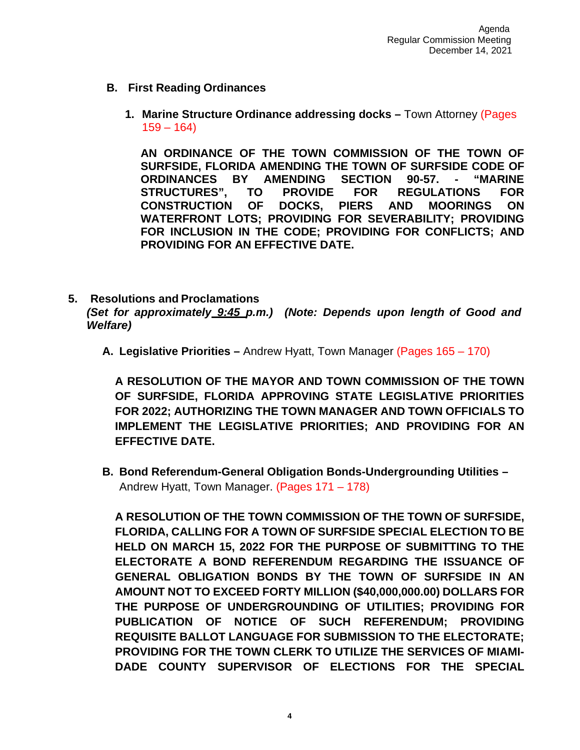- **B. First Reading Ordinances**
	- **1. Marine Structure Ordinance addressing docks –** Town Attorney (Pages  $159 - 164$

**AN ORDINANCE OF THE TOWN COMMISSION OF THE TOWN OF SURFSIDE, FLORIDA AMENDING THE TOWN OF SURFSIDE CODE OF ORDINANCES BY AMENDING SECTION 90-57. - "MARINE STRUCTURES", TO PROVIDE FOR REGULATIONS FOR CONSTRUCTION OF DOCKS, PIERS AND MOORINGS ON WATERFRONT LOTS; PROVIDING FOR SEVERABILITY; PROVIDING FOR INCLUSION IN THE CODE; PROVIDING FOR CONFLICTS; AND PROVIDING FOR AN EFFECTIVE DATE.**

- **5. Resolutions and Proclamations** *(Set for approximately 9:45 p.m.) (Note: Depends upon length of Good and Welfare)*
	- **A. Legislative Priorities –** Andrew Hyatt, Town Manager (Pages 165 170)

**A RESOLUTION OF THE MAYOR AND TOWN COMMISSION OF THE TOWN OF SURFSIDE, FLORIDA APPROVING STATE LEGISLATIVE PRIORITIES FOR 2022; AUTHORIZING THE TOWN MANAGER AND TOWN OFFICIALS TO IMPLEMENT THE LEGISLATIVE PRIORITIES; AND PROVIDING FOR AN EFFECTIVE DATE.**

**B. Bond Referendum-General Obligation Bonds-Undergrounding Utilities –** Andrew Hyatt, Town Manager. (Pages 171 – 178)

**A RESOLUTION OF THE TOWN COMMISSION OF THE TOWN OF SURFSIDE, FLORIDA, CALLING FOR A TOWN OF SURFSIDE SPECIAL ELECTION TO BE HELD ON MARCH 15, 2022 FOR THE PURPOSE OF SUBMITTING TO THE ELECTORATE A BOND REFERENDUM REGARDING THE ISSUANCE OF GENERAL OBLIGATION BONDS BY THE TOWN OF SURFSIDE IN AN AMOUNT NOT TO EXCEED FORTY MILLION (\$40,000,000.00) DOLLARS FOR THE PURPOSE OF UNDERGROUNDING OF UTILITIES; PROVIDING FOR PUBLICATION OF NOTICE OF SUCH REFERENDUM; PROVIDING REQUISITE BALLOT LANGUAGE FOR SUBMISSION TO THE ELECTORATE; PROVIDING FOR THE TOWN CLERK TO UTILIZE THE SERVICES OF MIAMI-DADE COUNTY SUPERVISOR OF ELECTIONS FOR THE SPECIAL**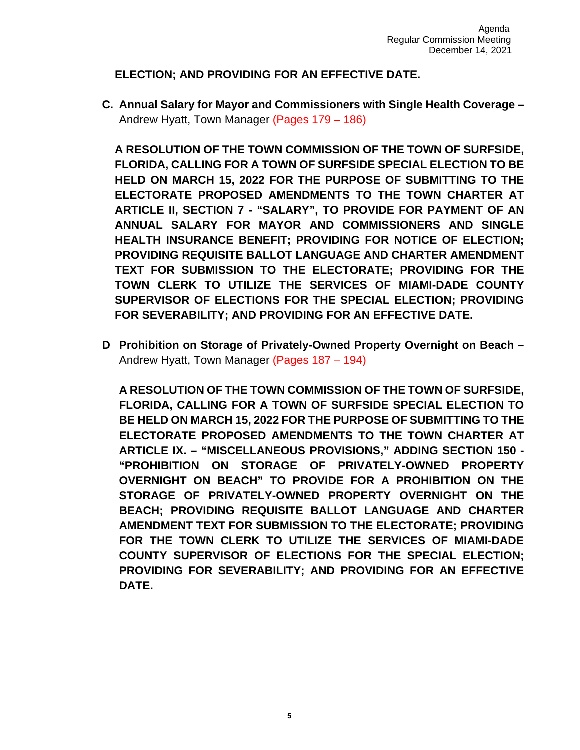### **ELECTION; AND PROVIDING FOR AN EFFECTIVE DATE.**

**C. Annual Salary for Mayor and Commissioners with Single Health Coverage –** Andrew Hyatt, Town Manager (Pages 179 – 186)

**A RESOLUTION OF THE TOWN COMMISSION OF THE TOWN OF SURFSIDE, FLORIDA, CALLING FOR A TOWN OF SURFSIDE SPECIAL ELECTION TO BE HELD ON MARCH 15, 2022 FOR THE PURPOSE OF SUBMITTING TO THE ELECTORATE PROPOSED AMENDMENTS TO THE TOWN CHARTER AT ARTICLE II, SECTION 7 - "SALARY", TO PROVIDE FOR PAYMENT OF AN ANNUAL SALARY FOR MAYOR AND COMMISSIONERS AND SINGLE HEALTH INSURANCE BENEFIT; PROVIDING FOR NOTICE OF ELECTION; PROVIDING REQUISITE BALLOT LANGUAGE AND CHARTER AMENDMENT TEXT FOR SUBMISSION TO THE ELECTORATE; PROVIDING FOR THE TOWN CLERK TO UTILIZE THE SERVICES OF MIAMI-DADE COUNTY SUPERVISOR OF ELECTIONS FOR THE SPECIAL ELECTION; PROVIDING FOR SEVERABILITY; AND PROVIDING FOR AN EFFECTIVE DATE.**

**D Prohibition on Storage of Privately-Owned Property Overnight on Beach –** Andrew Hyatt, Town Manager (Pages 187 – 194)

**A RESOLUTION OF THE TOWN COMMISSION OF THE TOWN OF SURFSIDE, FLORIDA, CALLING FOR A TOWN OF SURFSIDE SPECIAL ELECTION TO BE HELD ON MARCH 15, 2022 FOR THE PURPOSE OF SUBMITTING TO THE ELECTORATE PROPOSED AMENDMENTS TO THE TOWN CHARTER AT ARTICLE IX. – "MISCELLANEOUS PROVISIONS," ADDING SECTION 150 - "PROHIBITION ON STORAGE OF PRIVATELY-OWNED PROPERTY OVERNIGHT ON BEACH" TO PROVIDE FOR A PROHIBITION ON THE STORAGE OF PRIVATELY-OWNED PROPERTY OVERNIGHT ON THE BEACH; PROVIDING REQUISITE BALLOT LANGUAGE AND CHARTER AMENDMENT TEXT FOR SUBMISSION TO THE ELECTORATE; PROVIDING FOR THE TOWN CLERK TO UTILIZE THE SERVICES OF MIAMI-DADE COUNTY SUPERVISOR OF ELECTIONS FOR THE SPECIAL ELECTION; PROVIDING FOR SEVERABILITY; AND PROVIDING FOR AN EFFECTIVE DATE.**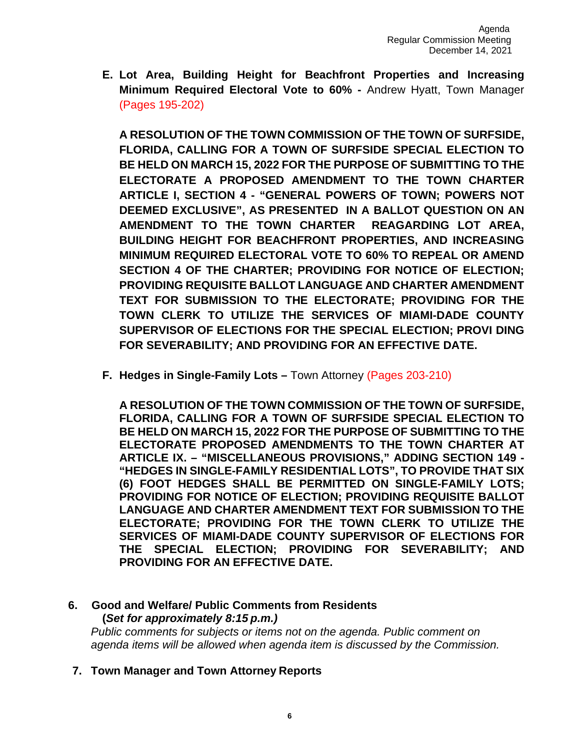**E. Lot Area, Building Height for Beachfront Properties and Increasing Minimum Required Electoral Vote to 60% -** Andrew Hyatt, Town Manager (Pages 195-202)

**A RESOLUTION OF THE TOWN COMMISSION OF THE TOWN OF SURFSIDE, FLORIDA, CALLING FOR A TOWN OF SURFSIDE SPECIAL ELECTION TO BE HELD ON MARCH 15, 2022 FOR THE PURPOSE OF SUBMITTING TO THE ELECTORATE A PROPOSED AMENDMENT TO THE TOWN CHARTER ARTICLE I, SECTION 4 - "GENERAL POWERS OF TOWN; POWERS NOT DEEMED EXCLUSIVE", AS PRESENTED IN A BALLOT QUESTION ON AN AMENDMENT TO THE TOWN CHARTER REAGARDING LOT AREA, BUILDING HEIGHT FOR BEACHFRONT PROPERTIES, AND INCREASING MINIMUM REQUIRED ELECTORAL VOTE TO 60% TO REPEAL OR AMEND SECTION 4 OF THE CHARTER; PROVIDING FOR NOTICE OF ELECTION; PROVIDING REQUISITE BALLOT LANGUAGE AND CHARTER AMENDMENT TEXT FOR SUBMISSION TO THE ELECTORATE; PROVIDING FOR THE TOWN CLERK TO UTILIZE THE SERVICES OF MIAMI-DADE COUNTY SUPERVISOR OF ELECTIONS FOR THE SPECIAL ELECTION; PROVI DING FOR SEVERABILITY; AND PROVIDING FOR AN EFFECTIVE DATE.**

**F. Hedges in Single-Family Lots –** Town Attorney (Pages 203-210)

**A RESOLUTION OF THE TOWN COMMISSION OF THE TOWN OF SURFSIDE, FLORIDA, CALLING FOR A TOWN OF SURFSIDE SPECIAL ELECTION TO BE HELD ON MARCH 15, 2022 FOR THE PURPOSE OF SUBMITTING TO THE ELECTORATE PROPOSED AMENDMENTS TO THE TOWN CHARTER AT ARTICLE IX. – "MISCELLANEOUS PROVISIONS," ADDING SECTION 149 - "HEDGES IN SINGLE-FAMILY RESIDENTIAL LOTS", TO PROVIDE THAT SIX (6) FOOT HEDGES SHALL BE PERMITTED ON SINGLE-FAMILY LOTS; PROVIDING FOR NOTICE OF ELECTION; PROVIDING REQUISITE BALLOT LANGUAGE AND CHARTER AMENDMENT TEXT FOR SUBMISSION TO THE ELECTORATE; PROVIDING FOR THE TOWN CLERK TO UTILIZE THE SERVICES OF MIAMI-DADE COUNTY SUPERVISOR OF ELECTIONS FOR THE SPECIAL ELECTION; PROVIDING FOR SEVERABILITY; AND PROVIDING FOR AN EFFECTIVE DATE.**

# **6. Good and Welfare/ Public Comments from Residents (***Set for approximately 8:15 p.m.)*

*Public comments for subjects or items not on the agenda. Public comment on agenda items will be allowed when agenda item is discussed by the Commission.*

**7. Town Manager and Town Attorney Reports**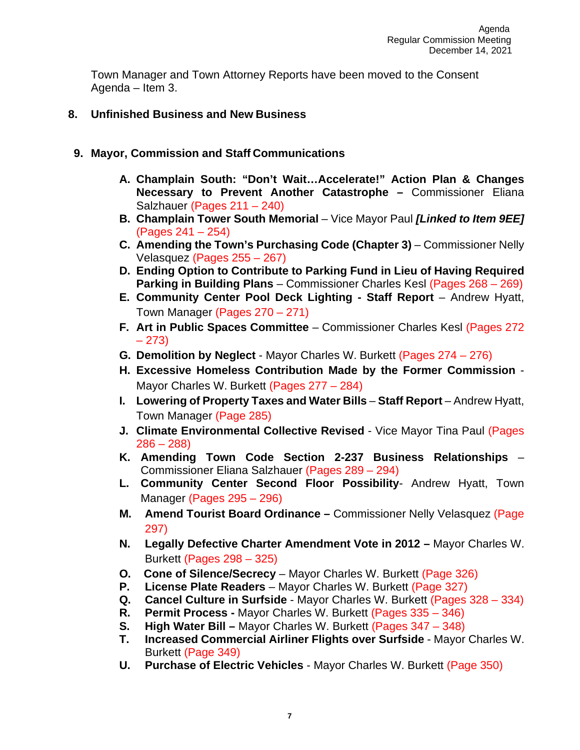Town Manager and Town Attorney Reports have been moved to the Consent Agenda – Item 3.

- **8. Unfinished Business and New Business**
- **9. Mayor, Commission and Staff Communications**
	- **A. Champlain South: "Don't Wait…Accelerate!" Action Plan & Changes Necessary to Prevent Another Catastrophe –** Commissioner Eliana Salzhauer (Pages 211 – 240)
	- **B. Champlain Tower South Memorial** Vice Mayor Paul *[Linked to Item 9EE]* (Pages 241 – 254)
	- **C.** Amending the Town's Purchasing Code (Chapter 3) Commissioner Nelly Velasquez (Pages 255 – 267)
	- **D. Ending Option to Contribute to Parking Fund in Lieu of Having Required Parking in Building Plans** – Commissioner Charles Kesl (Pages 268 – 269)
	- **E. Community Center Pool Deck Lighting - Staff Report**  Andrew Hyatt, Town Manager (Pages 270 – 271)
	- **F. Art in Public Spaces Committee**  Commissioner Charles Kesl (Pages 272 – 273)
	- **G. Demolition by Neglect**  Mayor Charles W. Burkett (Pages 274 276)
	- **H. Excessive Homeless Contribution Made by the Former Commission**  Mayor Charles W. Burkett (Pages 277 – 284)
	- **I. Lowering of Property Taxes and Water Bills Staff Report Andrew Hyatt,** Town Manager (Page 285)
	- **J. Climate Environmental Collective Revised Vice Mayor Tina Paul (Pages)**  $286 - 288$
	- **K. Amending Town Code Section 2-237 Business Relationships**  Commissioner Eliana Salzhauer (Pages 289 – 294)
	- **L. Community Center Second Floor Possibility** Andrew Hyatt, Town Manager (Pages 295 – 296)
	- **M. Amend Tourist Board Ordinance –** Commissioner Nelly Velasquez (Page 297)
	- **N. Legally Defective Charter Amendment Vote in 2012 –** Mayor Charles W. Burkett (Pages 298 – 325)
	- **O. Cone of Silence/Secrecy** Mayor Charles W. Burkett (Page 326)
	- **P. License Plate Readers**  Mayor Charles W. Burkett (Page 327)
	- **Q. Cancel Culture in Surfside**  Mayor Charles W. Burkett (Pages 328 334)
	- **R. Permit Process -** Mayor Charles W. Burkett (Pages 335 346)
	- **S. High Water Bill –** Mayor Charles W. Burkett (Pages 347 348)
	- **T. Increased Commercial Airliner Flights over Surfside** Mayor Charles W. Burkett (Page 349)
	- **U. Purchase of Electric Vehicles** Mayor Charles W. Burkett (Page 350)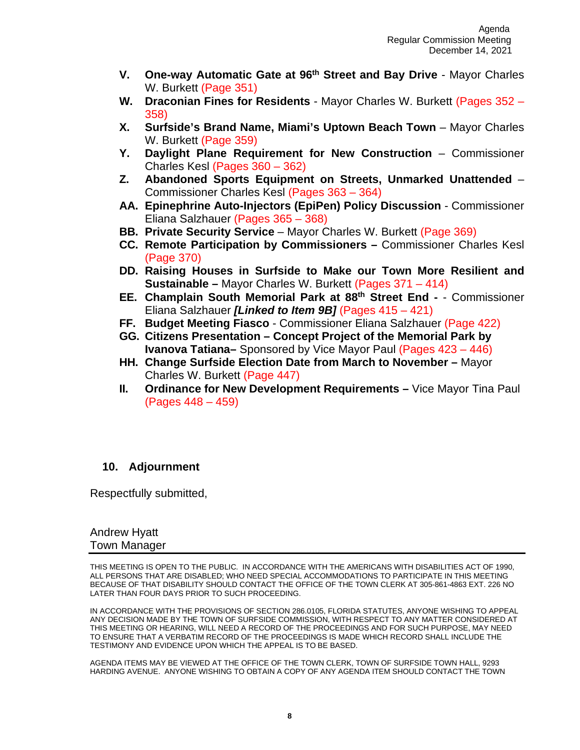- **V. One-way Automatic Gate at 96th Street and Bay Drive**  Mayor Charles W. Burkett (Page 351)
- **W. Draconian Fines for Residents** Mayor Charles W. Burkett (Pages 352 358)
- **X.** Surfside's Brand Name, Miami's Uptown Beach Town Mayor Charles W. Burkett (Page 359)
- **Y. Daylight Plane Requirement for New Construction**  Commissioner Charles Kesl (Pages 360 – 362)
- **Z. Abandoned Sports Equipment on Streets, Unmarked Unattended** Commissioner Charles Kesl (Pages 363 – 364)
- **AA. Epinephrine Auto-Injectors (EpiPen) Policy Discussion** Commissioner Eliana Salzhauer (Pages 365 – 368)
- **BB. Private Security Service** Mayor Charles W. Burkett (Page 369)
- **CC. Remote Participation by Commissioners –** Commissioner Charles Kesl (Page 370)
- **DD. Raising Houses in Surfside to Make our Town More Resilient and Sustainable –** Mayor Charles W. Burkett (Pages 371 – 414)
- **EE. Champlain South Memorial Park at 88th Street End -** Commissioner Eliana Salzhauer *[Linked to Item 9B]* (Pages 415 – 421)
- **FF. Budget Meeting Fiasco**  Commissioner Eliana Salzhauer (Page 422)
- **GG. Citizens Presentation – Concept Project of the Memorial Park by Ivanova Tatiana–** Sponsored by Vice Mayor Paul (Pages 423 – 446)
- **HH. Change Surfside Election Date from March to November –** Mayor Charles W. Burkett (Page 447)
- **II. Ordinance for New Development Requirements –** Vice Mayor Tina Paul (Pages 448 – 459)

## **10. Adjournment**

Respectfully submitted,

#### Andrew Hyatt Town Manager

THIS MEETING IS OPEN TO THE PUBLIC. IN ACCORDANCE WITH THE AMERICANS WITH DISABILITIES ACT OF 1990, ALL PERSONS THAT ARE DISABLED; WHO NEED SPECIAL ACCOMMODATIONS TO PARTICIPATE IN THIS MEETING BECAUSE OF THAT DISABILITY SHOULD CONTACT THE OFFICE OF THE TOWN CLERK AT 305-861-4863 EXT. 226 NO LATER THAN FOUR DAYS PRIOR TO SUCH PROCEEDING.

IN ACCORDANCE WITH THE PROVISIONS OF SECTION 286.0105, FLORIDA STATUTES, ANYONE WISHING TO APPEAL ANY DECISION MADE BY THE TOWN OF SURFSIDE COMMISSION, WITH RESPECT TO ANY MATTER CONSIDERED AT THIS MEETING OR HEARING, WILL NEED A RECORD OF THE PROCEEDINGS AND FOR SUCH PURPOSE, MAY NEED TO ENSURE THAT A VERBATIM RECORD OF THE PROCEEDINGS IS MADE WHICH RECORD SHALL INCLUDE THE TESTIMONY AND EVIDENCE UPON WHICH THE APPEAL IS TO BE BASED.

AGENDA ITEMS MAY BE VIEWED AT THE OFFICE OF THE TOWN CLERK, TOWN OF SURFSIDE TOWN HALL, 9293 HARDING AVENUE. ANYONE WISHING TO OBTAIN A COPY OF ANY AGENDA ITEM SHOULD CONTACT THE TOWN